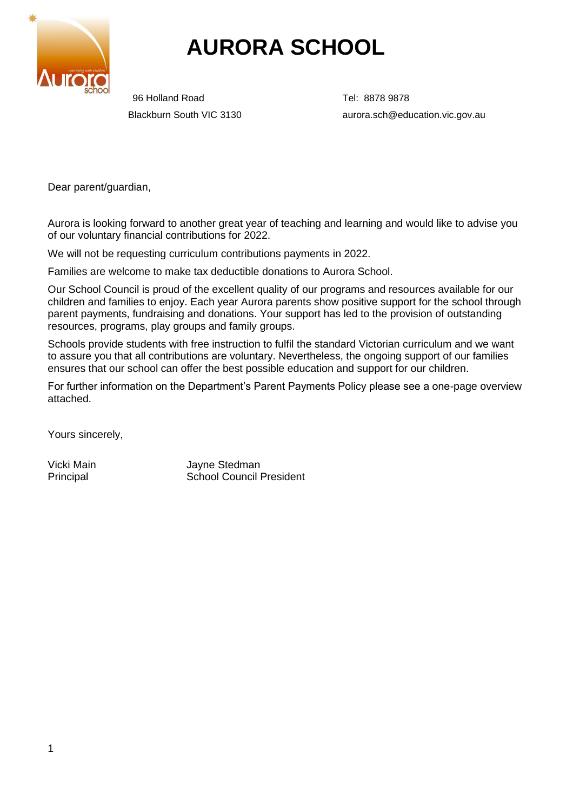

# **AURORA SCHOOL**

96 Holland Road Tel: 8878 9878

Blackburn South VIC 3130 aurora.sch@education.vic.gov.au

Dear parent/guardian,

Aurora is looking forward to another great year of teaching and learning and would like to advise you of our voluntary financial contributions for 2022.

We will not be requesting curriculum contributions payments in 2022.

Families are welcome to make tax deductible donations to Aurora School.

Our School Council is proud of the excellent quality of our programs and resources available for our children and families to enjoy. Each year Aurora parents show positive support for the school through parent payments, fundraising and donations. Your support has led to the provision of outstanding resources, programs, play groups and family groups.

Schools provide students with free instruction to fulfil the standard Victorian curriculum and we want to assure you that all contributions are voluntary. Nevertheless, the ongoing support of our families ensures that our school can offer the best possible education and support for our children.

For further information on the Department's Parent Payments Policy please see a one-page overview attached.

Yours sincerely,

Vicki Main **Vicki Main** Jayne Stedman Principal School Council President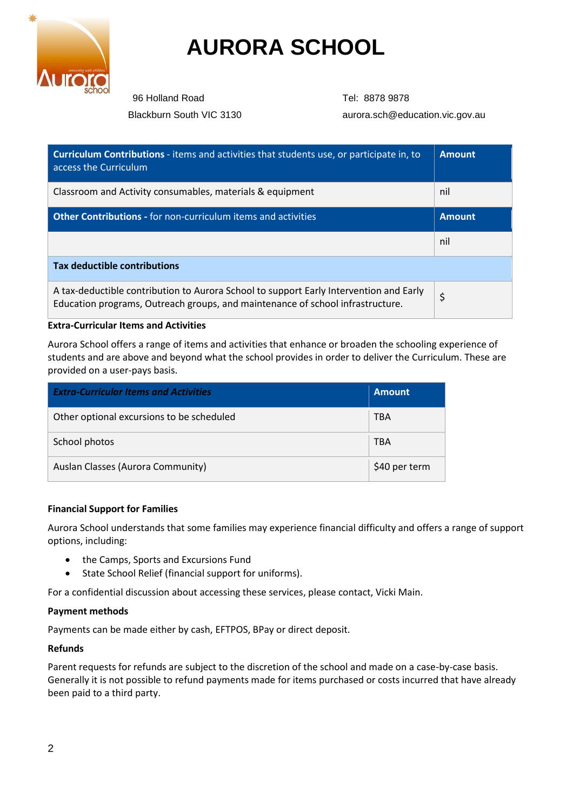

# **AURORA SCHOOL**

96 Holland Road Tel: 8878 9878

Blackburn South VIC 3130 aurora.sch@education.vic.gov.au

| <b>Curriculum Contributions</b> - items and activities that students use, or participate in, to<br>access the Curriculum                                                 | <b>Amount</b> |  |  |
|--------------------------------------------------------------------------------------------------------------------------------------------------------------------------|---------------|--|--|
| Classroom and Activity consumables, materials & equipment                                                                                                                | nil           |  |  |
| <b>Other Contributions - for non-curriculum items and activities</b>                                                                                                     | <b>Amount</b> |  |  |
|                                                                                                                                                                          | nil           |  |  |
| <b>Tax deductible contributions</b>                                                                                                                                      |               |  |  |
| A tax-deductible contribution to Aurora School to support Early Intervention and Early<br>Education programs, Outreach groups, and maintenance of school infrastructure. | \$            |  |  |

### **Extra-Curricular Items and Activities**

Aurora School offers a range of items and activities that enhance or broaden the schooling experience of students and are above and beyond what the school provides in order to deliver the Curriculum. These are provided on a user-pays basis.

| <b>Extra-Curricular Items and Activities</b> | <b>Amount</b> |
|----------------------------------------------|---------------|
| Other optional excursions to be scheduled    | <b>TBA</b>    |
| School photos                                | <b>TBA</b>    |
| Auslan Classes (Aurora Community)            | \$40 per term |

### **Financial Support for Families**

Aurora School understands that some families may experience financial difficulty and offers a range of support options, including:

- the Camps, Sports and Excursions Fund
- State School Relief (financial support for uniforms).

For a confidential discussion about accessing these services, please contact, Vicki Main.

### **Payment methods**

Payments can be made either by cash, EFTPOS, BPay or direct deposit.

### **Refunds**

Parent requests for refunds are subject to the discretion of the school and made on a case-by-case basis. Generally it is not possible to refund payments made for items purchased or costs incurred that have already been paid to a third party.